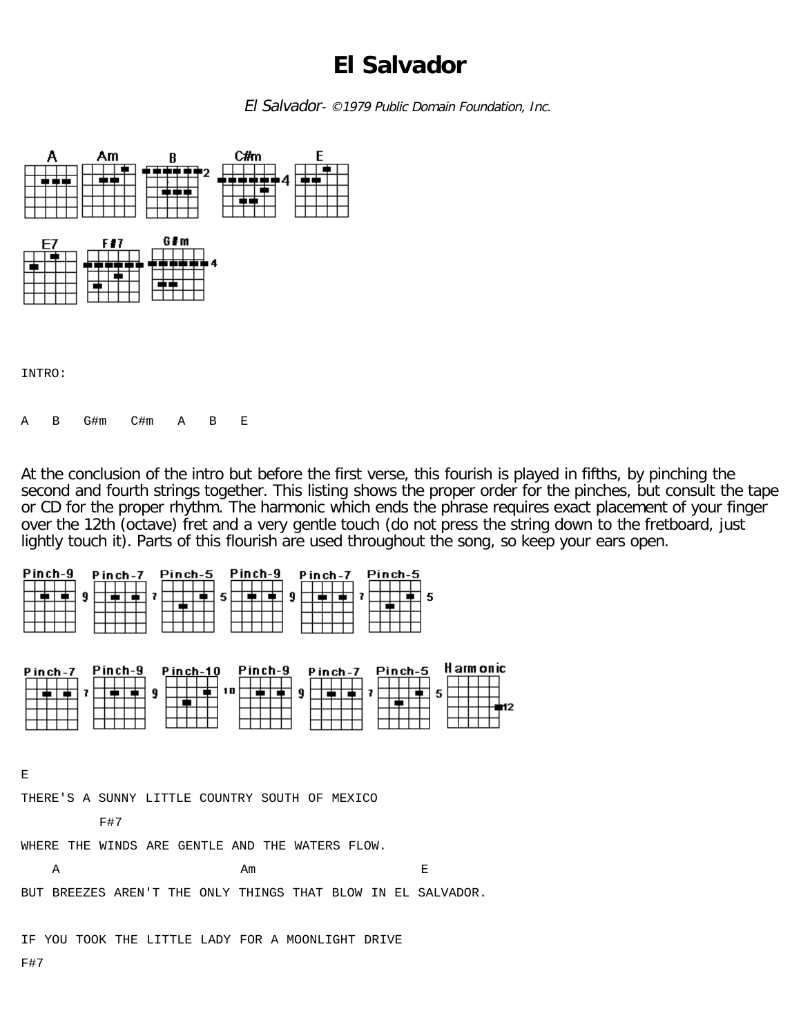## **El Salvador**

El Salvador- ©1979 Public Domain Foundation, Inc.



A B G#m C#m A B E

At the conclusion of the intro but before the first verse, this fourish is played in fifths, by pinching the second and fourth strings together. This listing shows the proper order for the pinches, but consult the tape or CD for the proper rhythm. The harmonic which ends the phrase requires exact placement of your finger over the 12th (octave) fret and a very gentle touch (do not press the string down to the fretboard, just lightly touch it). Parts of this flourish are used throughout the song, so keep your ears open.

| Pinch-9<br>Pinch-9<br>Pinch-5<br>Pinch-5<br>Pinch-7<br>Pinch-7<br>9<br>9<br>5.<br>5<br>7<br>7                |
|--------------------------------------------------------------------------------------------------------------|
| H arm on ic<br>Pinch-9 Pinch-10 Pinch-9 Pinch-7<br>Pinch-5<br>Pinch-7<br>10<br>9<br>9<br>5<br>7.<br>7.<br>12 |
| E                                                                                                            |
| THERE'S A SUNNY LITTLE COUNTRY SOUTH OF MEXICO                                                               |
| F#7                                                                                                          |
| WHERE THE WINDS ARE GENTLE AND THE WATERS FLOW.                                                              |
| E<br>$\mathsf{A}$<br>Am                                                                                      |
| BUT BREEZES AREN'T THE ONLY THINGS THAT BLOW IN EL SALVADOR.                                                 |
| YOU TOOK THE LITTLE LADY FOR A MOONLIGHT DRIVE<br>TF                                                         |

F#7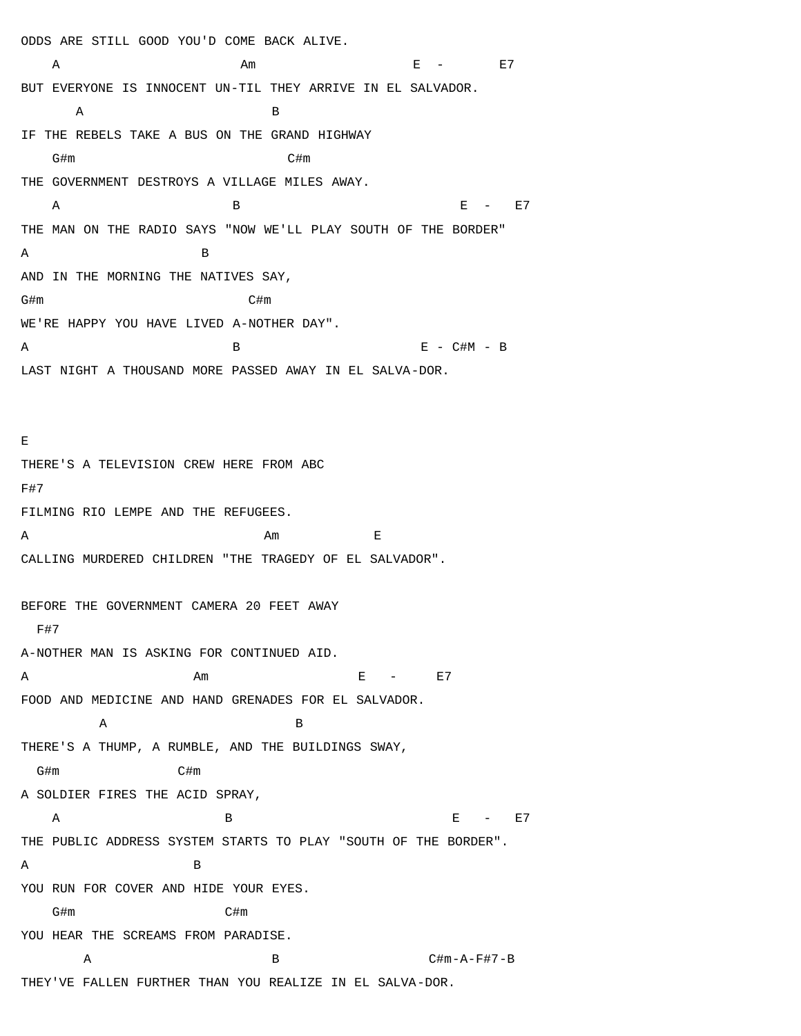ODDS ARE STILL GOOD YOU'D COME BACK ALIVE. A Am E - E7 BUT EVERYONE IS INNOCENT UN-TIL THEY ARRIVE IN EL SALVADOR. A B IF THE REBELS TAKE A BUS ON THE GRAND HIGHWAY G#m C#m THE GOVERNMENT DESTROYS A VILLAGE MILES AWAY.  $A$  B  $B$   $E$   $E$   $E$   $E$   $E$ THE MAN ON THE RADIO SAYS "NOW WE'LL PLAY SOUTH OF THE BORDER" A B AND IN THE MORNING THE NATIVES SAY, G#m C#m C#m WE'RE HAPPY YOU HAVE LIVED A-NOTHER DAY". A B B  $E - C#M - B$ LAST NIGHT A THOUSAND MORE PASSED AWAY IN EL SALVA-DOR. E THERE'S A TELEVISION CREW HERE FROM ABC F#7 FILMING RIO LEMPE AND THE REFUGEES.  $A$  and  $A$  and  $B$  and  $B$  and  $B$  and  $B$  and  $B$  and  $B$  and  $B$  and  $B$  and  $B$  and  $B$  and  $B$  and  $B$  and  $B$  and  $B$  and  $B$  and  $B$  and  $B$  and  $B$  and  $B$  and  $B$  and  $B$  and  $B$  and  $B$  and  $B$  and  $B$  and  $B$  a CALLING MURDERED CHILDREN "THE TRAGEDY OF EL SALVADOR". BEFORE THE GOVERNMENT CAMERA 20 FEET AWAY F#7 A-NOTHER MAN IS ASKING FOR CONTINUED AID. A Am Am E – E7 FOOD AND MEDICINE AND HAND GRENADES FOR EL SALVADOR. A B THERE'S A THUMP, A RUMBLE, AND THE BUILDINGS SWAY, G#m C#m A SOLDIER FIRES THE ACID SPRAY, A B B E - E7 THE PUBLIC ADDRESS SYSTEM STARTS TO PLAY "SOUTH OF THE BORDER". A B YOU RUN FOR COVER AND HIDE YOUR EYES. G#m C#m YOU HEAR THE SCREAMS FROM PARADISE.  $A$  B  $B$   $C\text{\#m-A-F\#7-B}$ THEY'VE FALLEN FURTHER THAN YOU REALIZE IN EL SALVA-DOR.